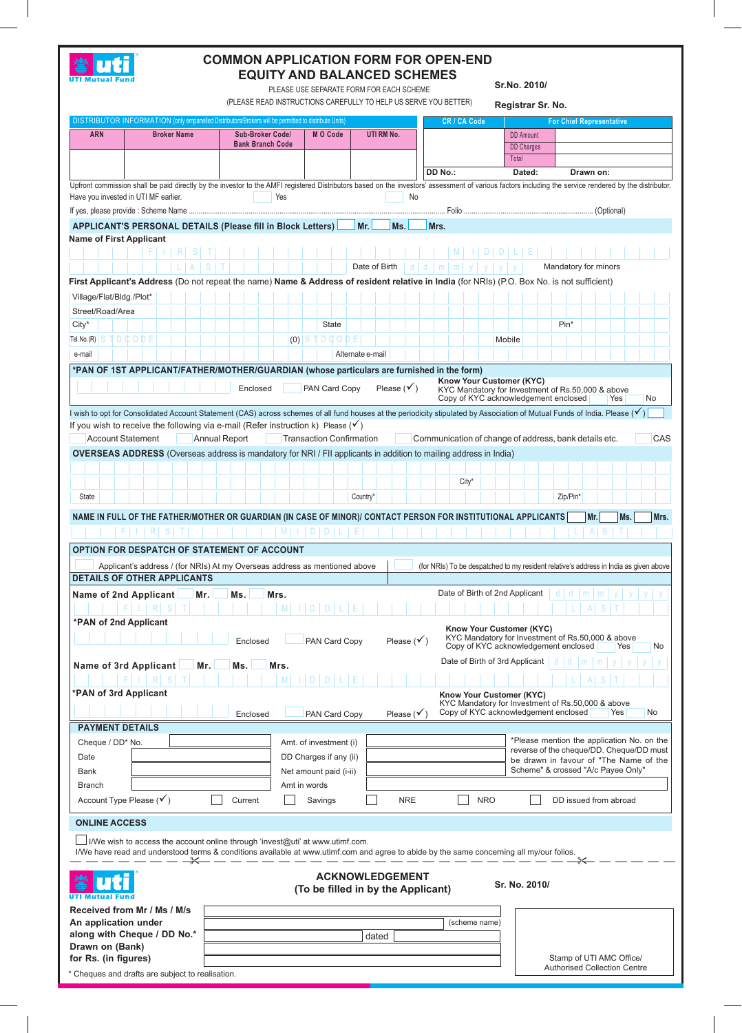

## **COMMON APPLICATION FORM FOR OPEN-END EQUITY AND BALANCED SCHEMES**

PLEASE USE SEPARATE FORM FOR EACH SCHEME

**Sr.No. 2010/**

(PLEASE READ INSTRUCTIONS CAREFULLY TO HELP US SERVE YOU BETTER) **Registrar Sr. No.** DISTRIBUTOR INFORMATION (only empanelled Distributors/Brokers will be permitted to distribute Units) **CR / CA Code For Chief Representative ARN Broker Name Sub-Broker Code/ M O Code UTI RM No.** DD Amount **Bank Branch Code** DD Charges Tota **DD No.: Dated: Drawn on:** Upfront commission shall be paid directly by the investor to the AMFI registered Distributors based on the investors' assessment of various factors including the service rendered by the distributor. Have you invested in UTI MF earlier.<br>
No If yes, please provide : Scheme Name ..................................................................................................................................... Folio ................................................................... (Optional) APPLICANT'S PERSONAL DETAILS (Please fill in Block Letters) Mr. Ms. Mrs. **Name of First Applicant** F I R S T M I D D L E L a s t Date of Birth d d m m y y y y Mandatory for minors **First Applicant's Address** (Do not repeat the name) **Name & Address of resident relative in India** (for NRIs) (P.O. Box No. is not sufficient) Village/Flat/Bldg./Plot\* Street/Road/Area  $\textrm{City}^*$  | | | | | | | | | | | | | | | | | State | | | | | | | | | | | | | | | Pin $^*$ TD ¢ O Tel. No. (R) S T D C O D E (0) Mobile e-mail | | | | | | | | | | | | | | | | | | Alternate e-mail **\*PAN of 1st Applicant/Father/Mother/Guardian (whose particulars are furnished in the form)**  Know Your Customer (KYC)<br>KYC Mandatory for Investment of Rs.50,000 & above **Enclosed PAN Card Copy Please** ( $\checkmark$ ) Copy of KYC acknowledgement enclosed Yes No I wish to opt for Consolidated Account Statement (CAS) across schemes of all fund houses at the periodicity stipulated by Association of Mutual Funds of India. Please ( $\checkmark$ ) If you wish to receive the following via e-mail (Refer instruction k) Please  $(v')$ Account Statement **Annual Report Transaction Confirmation Communication of change of address, bank details etc.** CAS **Overseas Address** (Overseas address is mandatory for NRI / FII applicants in addition to mailing address in India) City\* State | | | | | | | | | | | | | | | | | Country\* | | | | | | | | | | | | | | | Zip/Pin\* **NAME IN FULL OF THE FATHER/MOTHER OR GUARDIAN (IN CASE OF MINOR)/ CONTACT PERSON FOR INSTITUTIONAL APPLICANTS Mr. Ms. Mrs.** F I R S T | | | | | M | D | D | L | E | **Option for Despatch of Statement of Account** Applicant's address / (for NRIs) At my Overseas address as mentioned above (for NRIs) To be despatched to my resident relative's address in India as given above **DETAILS OF OTHER APPLICANTS Name of 2nd Applicant Mr. Ms. Mrs.** Mrs. Mrs. Date of Birth of 2nd Applicant | d | d | m  $|F|I|R|S|T|$   $|I|$   $|M|I|D|D|L|E$ **\*PAN of 2nd Applicant Know Your Customer (KYC)** KYC Mandatory for Investment of Rs.50,000 & above Enclosed PAN Card Copy Please  $(\checkmark)$ Copy of KYC acknowledgement enclosed Yes No Date of Birth of 3rd Applicant d Name of 3rd Applicant Mr. Ms. Mrs. F I R S T M I D D L E L A S T **\*PAN of 3rd Applicant Know Your Customer (KYC)** KYC Mandatory for Investment of Rs.50,000 & above<br>Copy of KYC acknowledgement enclosed Nes No Enclosed **PAN Card Copy** Please  $(\checkmark)$ **PAYMENT DETAILS** Cheque / DD\* No.  $\Box$  Amt. of investment (i) \*Please mention the application No. on the reverse of the cheque/DD. Cheque/DD must Date Date Date DD Charges if any (ii) be drawn in favour of "The Name of the Bank **Net amount paid (i-ii)** Scheme" & crossed "A/c Payee Only" Branch and the state of the state of the state of the state of the state of the state of the state of the state of the state of the state of the state of the state of the state of the state of the state of the state of the Account Type Please ( $\checkmark$ )  $\Box$  Current  $\Box$  Savings  $\Box$  NRE  $\Box$  NRO  $\Box$  DD issued from abroad **ONLINE ACCESS** I/We wish to access the account online through 'invest@uti' at www.utimf.com. I/We have read and understood terms & conditions available at www.utimf.com and agree to abide by the same concerning all my/our folios. **ACKNOWLEDGEMENT** uti **Sr. No. 2010/ (To be filled in by the Applicant) UTI Mutual Fund Received from Mr / Ms / M/s An application under**  (scheme name) **along with Cheque / DD No.\*** dated **Drawn on (Bank)** Stamp of UTI AMC Office/ **for Rs. (in figures)** Authorised Collection Centre \* Cheques and drafts are subject to realisation.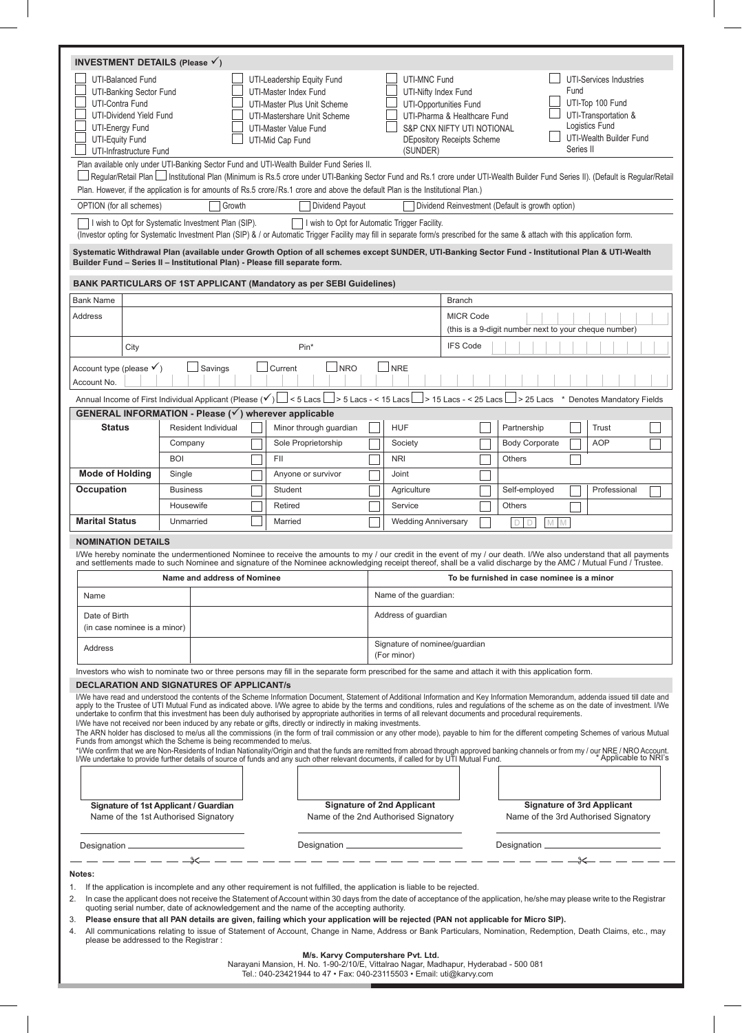| <b>INVESTMENT DETAILS (Please <math>\checkmark</math>)</b> |                                                                                                    |                 |                                                                                                                        |                        |                                                                    |                                                                                                                                                                                                                                                       |                 |                                                         |                                                                                                                           |                                                                           |                                                                                                                                                                                                                                                                                                                                                                                                                                                                                                                                                                                                                                                                                                                                                                                                                                                                                                                                                                     |  |  |  |  |  |  |  |  |
|------------------------------------------------------------|----------------------------------------------------------------------------------------------------|-----------------|------------------------------------------------------------------------------------------------------------------------|------------------------|--------------------------------------------------------------------|-------------------------------------------------------------------------------------------------------------------------------------------------------------------------------------------------------------------------------------------------------|-----------------|---------------------------------------------------------|---------------------------------------------------------------------------------------------------------------------------|---------------------------------------------------------------------------|---------------------------------------------------------------------------------------------------------------------------------------------------------------------------------------------------------------------------------------------------------------------------------------------------------------------------------------------------------------------------------------------------------------------------------------------------------------------------------------------------------------------------------------------------------------------------------------------------------------------------------------------------------------------------------------------------------------------------------------------------------------------------------------------------------------------------------------------------------------------------------------------------------------------------------------------------------------------|--|--|--|--|--|--|--|--|
| UTI-Contra Fund<br>UTI-Energy Fund<br>UTI-Equity Fund      | UTI-Balanced Fund<br>UTI-Banking Sector Fund<br>UTI-Dividend Yield Fund<br>UTI-Infrastructure Fund |                 |                                                                                                                        |                        | UTI-Master Index Fund<br>UTI-Master Value Fund<br>UTI-Mid Cap Fund | UTI-Leadership Equity Fund<br>UTI-Master Plus Unit Scheme<br>UTI-Mastershare Unit Scheme<br>Plan available only under UTI-Banking Sector Fund and UTI-Wealth Builder Fund Series II.                                                                  |                 | <b>UTI-MNC Fund</b><br>UTI-Nifty Index Fund<br>(SUNDER) | UTI-Opportunities Fund<br>UTI-Pharma & Healthcare Fund<br>S&P CNX NIFTY UTI NOTIONAL<br><b>DEpository Receipts Scheme</b> |                                                                           | UTI-Services Industries<br>Fund<br>UTI-Top 100 Fund<br>UTI-Transportation &<br>Logistics Fund<br>UTI-Wealth Builder Fund<br>Series II<br>Regular/Retail Plan   Institutional Plan (Minimum is Rs.5 crore under UTI-Banking Sector Fund and Rs.1 crore under UTI-Wealth Builder Fund Series II). (Default is Regular/Retail                                                                                                                                                                                                                                                                                                                                                                                                                                                                                                                                                                                                                                          |  |  |  |  |  |  |  |  |
|                                                            |                                                                                                    |                 |                                                                                                                        |                        |                                                                    | Plan. However, if the application is for amounts of Rs.5 crore/Rs.1 crore and above the default Plan is the Institutional Plan.)                                                                                                                      |                 |                                                         |                                                                                                                           |                                                                           |                                                                                                                                                                                                                                                                                                                                                                                                                                                                                                                                                                                                                                                                                                                                                                                                                                                                                                                                                                     |  |  |  |  |  |  |  |  |
| OPTION (for all schemes)                                   |                                                                                                    |                 | Growth                                                                                                                 |                        |                                                                    | Dividend Payout                                                                                                                                                                                                                                       |                 |                                                         |                                                                                                                           |                                                                           | Dividend Reinvestment (Default is growth option)                                                                                                                                                                                                                                                                                                                                                                                                                                                                                                                                                                                                                                                                                                                                                                                                                                                                                                                    |  |  |  |  |  |  |  |  |
|                                                            |                                                                                                    |                 | I wish to Opt for Systematic Investment Plan (SIP).                                                                    |                        |                                                                    | I wish to Opt for Automatic Trigger Facility.                                                                                                                                                                                                         |                 |                                                         |                                                                                                                           |                                                                           | (Investor opting for Systematic Investment Plan (SIP) & / or Automatic Trigger Facility may fill in separate form/s prescribed for the same & attach with this application form.                                                                                                                                                                                                                                                                                                                                                                                                                                                                                                                                                                                                                                                                                                                                                                                    |  |  |  |  |  |  |  |  |
|                                                            |                                                                                                    |                 | Builder Fund - Series II - Institutional Plan) - Please fill separate form.                                            |                        |                                                                    |                                                                                                                                                                                                                                                       |                 |                                                         |                                                                                                                           |                                                                           | Systematic Withdrawal Plan (available under Growth Option of all schemes except SUNDER, UTI-Banking Sector Fund - Institutional Plan & UTI-Wealth                                                                                                                                                                                                                                                                                                                                                                                                                                                                                                                                                                                                                                                                                                                                                                                                                   |  |  |  |  |  |  |  |  |
|                                                            |                                                                                                    |                 |                                                                                                                        |                        |                                                                    | <b>BANK PARTICULARS OF 1ST APPLICANT (Mandatory as per SEBI Guidelines)</b>                                                                                                                                                                           |                 |                                                         |                                                                                                                           |                                                                           |                                                                                                                                                                                                                                                                                                                                                                                                                                                                                                                                                                                                                                                                                                                                                                                                                                                                                                                                                                     |  |  |  |  |  |  |  |  |
| <b>Bank Name</b>                                           |                                                                                                    |                 |                                                                                                                        |                        |                                                                    |                                                                                                                                                                                                                                                       |                 |                                                         | <b>Branch</b>                                                                                                             |                                                                           |                                                                                                                                                                                                                                                                                                                                                                                                                                                                                                                                                                                                                                                                                                                                                                                                                                                                                                                                                                     |  |  |  |  |  |  |  |  |
| <b>Address</b>                                             |                                                                                                    |                 |                                                                                                                        |                        |                                                                    |                                                                                                                                                                                                                                                       |                 |                                                         | <b>MICR Code</b><br>(this is a 9-digit number next to your cheque number)                                                 |                                                                           |                                                                                                                                                                                                                                                                                                                                                                                                                                                                                                                                                                                                                                                                                                                                                                                                                                                                                                                                                                     |  |  |  |  |  |  |  |  |
|                                                            | City                                                                                               |                 |                                                                                                                        |                        |                                                                    | $Pin*$                                                                                                                                                                                                                                                | <b>IFS Code</b> |                                                         |                                                                                                                           |                                                                           |                                                                                                                                                                                                                                                                                                                                                                                                                                                                                                                                                                                                                                                                                                                                                                                                                                                                                                                                                                     |  |  |  |  |  |  |  |  |
| Account type (please $\checkmark$ )<br>Account No.         |                                                                                                    |                 | $\Box$ Savings                                                                                                         |                        | Current                                                            | <b>NRO</b>                                                                                                                                                                                                                                            |                 | <b>NRE</b>                                              |                                                                                                                           |                                                                           |                                                                                                                                                                                                                                                                                                                                                                                                                                                                                                                                                                                                                                                                                                                                                                                                                                                                                                                                                                     |  |  |  |  |  |  |  |  |
|                                                            |                                                                                                    |                 |                                                                                                                        |                        |                                                                    |                                                                                                                                                                                                                                                       |                 |                                                         |                                                                                                                           |                                                                           | Annual Income of First Individual Applicant (Please (V) L < 5 Lacs L > 5 Lacs - < 15 Lacs L > 15 Lacs - < 25 Lacs L > 25 Lacs * Denotes Mandatory Fields                                                                                                                                                                                                                                                                                                                                                                                                                                                                                                                                                                                                                                                                                                                                                                                                            |  |  |  |  |  |  |  |  |
|                                                            |                                                                                                    |                 | <b>GENERAL INFORMATION - Please (<math>\checkmark</math>) wherever applicable</b>                                      |                        |                                                                    |                                                                                                                                                                                                                                                       |                 |                                                         |                                                                                                                           |                                                                           |                                                                                                                                                                                                                                                                                                                                                                                                                                                                                                                                                                                                                                                                                                                                                                                                                                                                                                                                                                     |  |  |  |  |  |  |  |  |
| <b>Status</b>                                              |                                                                                                    |                 | Resident Individual                                                                                                    | Minor through guardian |                                                                    |                                                                                                                                                                                                                                                       |                 | <b>HUF</b>                                              |                                                                                                                           |                                                                           | Trust<br>Partnership                                                                                                                                                                                                                                                                                                                                                                                                                                                                                                                                                                                                                                                                                                                                                                                                                                                                                                                                                |  |  |  |  |  |  |  |  |
|                                                            |                                                                                                    | Company         |                                                                                                                        |                        | Sole Proprietorship                                                |                                                                                                                                                                                                                                                       |                 | Society                                                 |                                                                                                                           |                                                                           | <b>Body Corporate</b><br><b>AOP</b>                                                                                                                                                                                                                                                                                                                                                                                                                                                                                                                                                                                                                                                                                                                                                                                                                                                                                                                                 |  |  |  |  |  |  |  |  |
|                                                            |                                                                                                    | <b>BOI</b>      |                                                                                                                        |                        | <b>FII</b>                                                         |                                                                                                                                                                                                                                                       |                 | <b>NRI</b>                                              |                                                                                                                           |                                                                           | <b>Others</b>                                                                                                                                                                                                                                                                                                                                                                                                                                                                                                                                                                                                                                                                                                                                                                                                                                                                                                                                                       |  |  |  |  |  |  |  |  |
| <b>Mode of Holding</b>                                     |                                                                                                    | Single          |                                                                                                                        |                        | Anyone or survivor                                                 |                                                                                                                                                                                                                                                       |                 | Joint                                                   |                                                                                                                           |                                                                           |                                                                                                                                                                                                                                                                                                                                                                                                                                                                                                                                                                                                                                                                                                                                                                                                                                                                                                                                                                     |  |  |  |  |  |  |  |  |
| Occupation<br><b>Marital Status</b>                        |                                                                                                    | <b>Business</b> |                                                                                                                        |                        | Student                                                            |                                                                                                                                                                                                                                                       |                 | Agriculture                                             |                                                                                                                           |                                                                           | Self-employed<br>Professional                                                                                                                                                                                                                                                                                                                                                                                                                                                                                                                                                                                                                                                                                                                                                                                                                                                                                                                                       |  |  |  |  |  |  |  |  |
|                                                            |                                                                                                    | Housewife       |                                                                                                                        | Retired                |                                                                    |                                                                                                                                                                                                                                                       |                 | Service                                                 |                                                                                                                           |                                                                           | <b>Others</b>                                                                                                                                                                                                                                                                                                                                                                                                                                                                                                                                                                                                                                                                                                                                                                                                                                                                                                                                                       |  |  |  |  |  |  |  |  |
|                                                            |                                                                                                    |                 | Unmarried<br>Married                                                                                                   |                        |                                                                    |                                                                                                                                                                                                                                                       |                 | <b>Wedding Anniversary</b>                              |                                                                                                                           |                                                                           | $\Box$<br>$\mathbb M$<br>D<br>M                                                                                                                                                                                                                                                                                                                                                                                                                                                                                                                                                                                                                                                                                                                                                                                                                                                                                                                                     |  |  |  |  |  |  |  |  |
| <b>NOMINATION DETAILS</b>                                  |                                                                                                    |                 |                                                                                                                        |                        |                                                                    |                                                                                                                                                                                                                                                       |                 |                                                         |                                                                                                                           |                                                                           |                                                                                                                                                                                                                                                                                                                                                                                                                                                                                                                                                                                                                                                                                                                                                                                                                                                                                                                                                                     |  |  |  |  |  |  |  |  |
|                                                            |                                                                                                    |                 |                                                                                                                        |                        |                                                                    |                                                                                                                                                                                                                                                       |                 |                                                         |                                                                                                                           |                                                                           | I/We hereby nominate the undermentioned Nominee to receive the amounts to my / our credit in the event of my / our death. I/We also understand that all payments<br>and settlements made to such Nominee and signature of the Nominee acknowledging receipt thereof, shall be a valid discharge by the AMC / Mutual Fund / Trustee.                                                                                                                                                                                                                                                                                                                                                                                                                                                                                                                                                                                                                                 |  |  |  |  |  |  |  |  |
|                                                            |                                                                                                    |                 | Name and address of Nominee                                                                                            |                        |                                                                    |                                                                                                                                                                                                                                                       |                 |                                                         |                                                                                                                           |                                                                           | To be furnished in case nominee is a minor                                                                                                                                                                                                                                                                                                                                                                                                                                                                                                                                                                                                                                                                                                                                                                                                                                                                                                                          |  |  |  |  |  |  |  |  |
| Name                                                       |                                                                                                    |                 |                                                                                                                        |                        |                                                                    |                                                                                                                                                                                                                                                       |                 | Name of the guardian:                                   |                                                                                                                           |                                                                           |                                                                                                                                                                                                                                                                                                                                                                                                                                                                                                                                                                                                                                                                                                                                                                                                                                                                                                                                                                     |  |  |  |  |  |  |  |  |
|                                                            |                                                                                                    |                 |                                                                                                                        |                        |                                                                    |                                                                                                                                                                                                                                                       |                 |                                                         |                                                                                                                           |                                                                           |                                                                                                                                                                                                                                                                                                                                                                                                                                                                                                                                                                                                                                                                                                                                                                                                                                                                                                                                                                     |  |  |  |  |  |  |  |  |
| Date of Birth<br>(in case nominee is a minor)              |                                                                                                    |                 |                                                                                                                        |                        |                                                                    |                                                                                                                                                                                                                                                       |                 | Address of guardian                                     |                                                                                                                           |                                                                           |                                                                                                                                                                                                                                                                                                                                                                                                                                                                                                                                                                                                                                                                                                                                                                                                                                                                                                                                                                     |  |  |  |  |  |  |  |  |
| Address                                                    |                                                                                                    |                 |                                                                                                                        |                        |                                                                    |                                                                                                                                                                                                                                                       |                 | Signature of nominee/guardian<br>(For minor)            |                                                                                                                           |                                                                           |                                                                                                                                                                                                                                                                                                                                                                                                                                                                                                                                                                                                                                                                                                                                                                                                                                                                                                                                                                     |  |  |  |  |  |  |  |  |
|                                                            |                                                                                                    |                 |                                                                                                                        |                        |                                                                    |                                                                                                                                                                                                                                                       |                 |                                                         |                                                                                                                           |                                                                           | Investors who wish to nominate two or three persons may fill in the separate form prescribed for the same and attach it with this application form.                                                                                                                                                                                                                                                                                                                                                                                                                                                                                                                                                                                                                                                                                                                                                                                                                 |  |  |  |  |  |  |  |  |
|                                                            |                                                                                                    |                 | <b>DECLARATION AND SIGNATURES OF APPLICANT/S</b><br>Funds from amongst which the Scheme is being recommended to me/us. |                        |                                                                    | I/We have not received nor been induced by any rebate or gifts, directly or indirectly in making investments.<br>The undertake to provide further details of source of funds and any such other relevant documents, if called for by UTI Mutual Fund. |                 |                                                         |                                                                                                                           |                                                                           | I/We have read and understood the contents of the Scheme Information Document, Statement of Additional Information and Key Information Memorandum, addenda issued till date and<br>apply to the Trustee of UTI Mutual Fund as indicated above. I/We agree to abide by the terms and conditions, rules and regulations of the scheme as on the date of investment. I/We<br>undertake to confirm that this investment has been duly authorised by appropriate authorities in terms of all relevant documents and procedural requirements.<br>The ARN holder has disclosed to me/us all the commissions (in the form of trail commission or any other mode), payable to him for the different competing Schemes of various Mutual<br>This confirm that we are Non-Residents of Indian Nationality/Origin and that the funds are remitted from abroad through approved banking channels or from my / our NRE / NRO Account.<br>IMA undertake to provide further details |  |  |  |  |  |  |  |  |
|                                                            |                                                                                                    |                 | Signature of 1st Applicant / Guardian<br>Name of the 1st Authorised Signatory                                          |                        |                                                                    | Name of the 2nd Authorised Signatory                                                                                                                                                                                                                  |                 | <b>Signature of 2nd Applicant</b>                       |                                                                                                                           | <b>Signature of 3rd Applicant</b><br>Name of the 3rd Authorised Signatory |                                                                                                                                                                                                                                                                                                                                                                                                                                                                                                                                                                                                                                                                                                                                                                                                                                                                                                                                                                     |  |  |  |  |  |  |  |  |
|                                                            |                                                                                                    |                 |                                                                                                                        |                        |                                                                    |                                                                                                                                                                                                                                                       |                 |                                                         |                                                                                                                           |                                                                           |                                                                                                                                                                                                                                                                                                                                                                                                                                                                                                                                                                                                                                                                                                                                                                                                                                                                                                                                                                     |  |  |  |  |  |  |  |  |
|                                                            |                                                                                                    |                 |                                                                                                                        |                        |                                                                    |                                                                                                                                                                                                                                                       |                 |                                                         |                                                                                                                           |                                                                           |                                                                                                                                                                                                                                                                                                                                                                                                                                                                                                                                                                                                                                                                                                                                                                                                                                                                                                                                                                     |  |  |  |  |  |  |  |  |
| Notes:                                                     |                                                                                                    |                 |                                                                                                                        |                        |                                                                    |                                                                                                                                                                                                                                                       |                 |                                                         |                                                                                                                           |                                                                           |                                                                                                                                                                                                                                                                                                                                                                                                                                                                                                                                                                                                                                                                                                                                                                                                                                                                                                                                                                     |  |  |  |  |  |  |  |  |
| 1.<br>2.<br>3.<br>4.                                       |                                                                                                    |                 |                                                                                                                        |                        |                                                                    | If the application is incomplete and any other requirement is not fulfilled, the application is liable to be rejected.<br>quoting serial number, date of acknowledgement and the name of the accepting authority.                                     |                 |                                                         |                                                                                                                           |                                                                           | In case the applicant does not receive the Statement of Account within 30 days from the date of acceptance of the application, he/she may please write to the Registrar<br>Please ensure that all PAN details are given, failing which your application will be rejected (PAN not applicable for Micro SIP).<br>All communications relating to issue of Statement of Account, Change in Name, Address or Bank Particulars, Nomination, Redemption, Death Claims, etc., may                                                                                                                                                                                                                                                                                                                                                                                                                                                                                          |  |  |  |  |  |  |  |  |
|                                                            | please be addressed to the Registrar:                                                              |                 |                                                                                                                        |                        |                                                                    |                                                                                                                                                                                                                                                       |                 |                                                         |                                                                                                                           |                                                                           |                                                                                                                                                                                                                                                                                                                                                                                                                                                                                                                                                                                                                                                                                                                                                                                                                                                                                                                                                                     |  |  |  |  |  |  |  |  |

 $\overline{\phantom{a}}$ 

 $\begin{array}{c} \hline \end{array}$ 

**M/s. Karvy Computershare Pvt. Ltd.** Narayani Mansion, H. No. 1-90-2/10/E, Vittalrao Nagar, Madhapur, Hyderabad - 500 081 Tel.: 040-23421944 to 47 • Fax: 040-23115503 • Email: uti@karvy.com